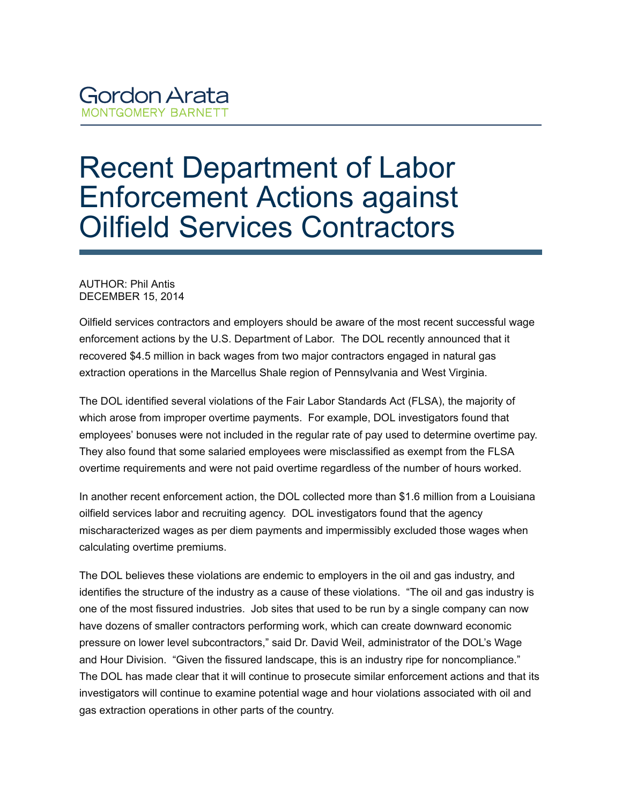## **Gordon Arata MONTGOMERY BARNETT**

## Recent Department of Labor Enforcement Actions against Oilfield Services Contractors

## AUTHOR: Phil Antis DECEMBER 15, 2014

Oilfield services contractors and employers should be aware of the most recent successful wage enforcement actions by the U.S. Department of Labor. The DOL recently announced that it recovered \$4.5 million in back wages from two major contractors engaged in natural gas extraction operations in the Marcellus Shale region of Pennsylvania and West Virginia.

The DOL identified several violations of the Fair Labor Standards Act (FLSA), the majority of which arose from improper overtime payments. For example, DOL investigators found that employees' bonuses were not included in the regular rate of pay used to determine overtime pay. They also found that some salaried employees were misclassified as exempt from the FLSA overtime requirements and were not paid overtime regardless of the number of hours worked.

In another recent enforcement action, the DOL collected more than \$1.6 million from a Louisiana oilfield services labor and recruiting agency. DOL investigators found that the agency mischaracterized wages as per diem payments and impermissibly excluded those wages when calculating overtime premiums.

The DOL believes these violations are endemic to employers in the oil and gas industry, and identifies the structure of the industry as a cause of these violations. "The oil and gas industry is one of the most fissured industries. Job sites that used to be run by a single company can now have dozens of smaller contractors performing work, which can create downward economic pressure on lower level subcontractors," said Dr. David Weil, administrator of the DOL's Wage and Hour Division. "Given the fissured landscape, this is an industry ripe for noncompliance." The DOL has made clear that it will continue to prosecute similar enforcement actions and that its investigators will continue to examine potential wage and hour violations associated with oil and gas extraction operations in other parts of the country.